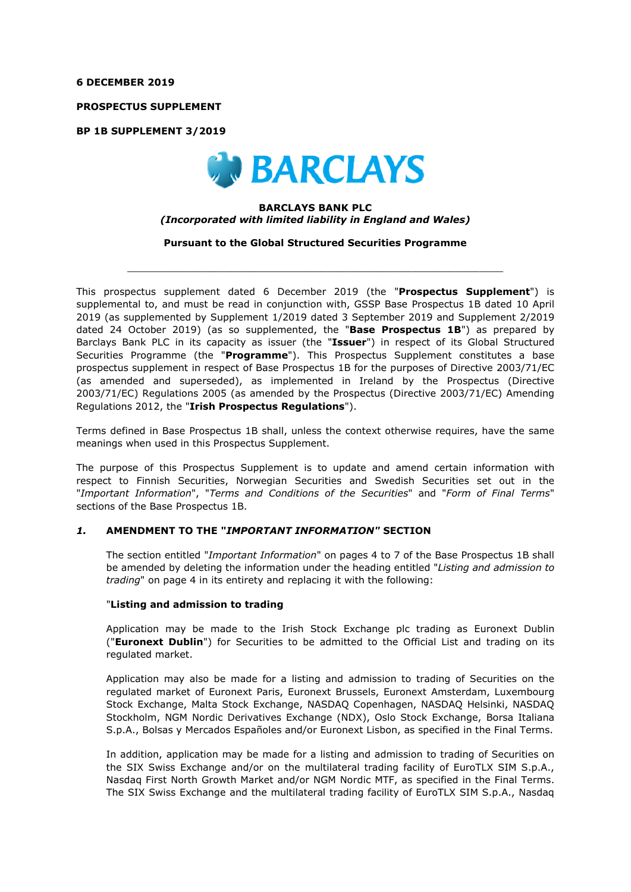#### **6 DECEMBER 2019**

**PROSPECTUS SUPPLEMENT** 

**BP 1B SUPPLEMENT 3/2019** 



#### **BARCLAYS BANK PLC**  *(Incorporated with limited liability in England and Wales)*

**Pursuant to the Global Structured Securities Programme** 

 $\_$  , and the set of the set of the set of the set of the set of the set of the set of the set of the set of the set of the set of the set of the set of the set of the set of the set of the set of the set of the set of th

This prospectus supplement dated 6 December 2019 (the "**Prospectus Supplement**") is supplemental to, and must be read in conjunction with, GSSP Base Prospectus 1B dated 10 April 2019 (as supplemented by Supplement 1/2019 dated 3 September 2019 and Supplement 2/2019 dated 24 October 2019) (as so supplemented, the "**Base Prospectus 1B**") as prepared by Barclays Bank PLC in its capacity as issuer (the "**Issuer**") in respect of its Global Structured Securities Programme (the "**Programme**"). This Prospectus Supplement constitutes a base prospectus supplement in respect of Base Prospectus 1B for the purposes of Directive 2003/71/EC (as amended and superseded), as implemented in Ireland by the Prospectus (Directive 2003/71/EC) Regulations 2005 (as amended by the Prospectus (Directive 2003/71/EC) Amending Regulations 2012, the "**Irish Prospectus Regulations**").

Terms defined in Base Prospectus 1B shall, unless the context otherwise requires, have the same meanings when used in this Prospectus Supplement.

The purpose of this Prospectus Supplement is to update and amend certain information with respect to Finnish Securities, Norwegian Securities and Swedish Securities set out in the "*Important Information*", "*Terms and Conditions of the Securities*" and "*Form of Final Terms*" sections of the Base Prospectus 1B.

#### *1.* **AMENDMENT TO THE "***IMPORTANT INFORMATION"* **SECTION**

The section entitled "*Important Information*" on pages 4 to 7 of the Base Prospectus 1B shall be amended by deleting the information under the heading entitled "*Listing and admission to trading*" on page 4 in its entirety and replacing it with the following:

#### "**Listing and admission to trading**

Application may be made to the Irish Stock Exchange plc trading as Euronext Dublin ("**Euronext Dublin**") for Securities to be admitted to the Official List and trading on its regulated market.

Application may also be made for a listing and admission to trading of Securities on the regulated market of Euronext Paris, Euronext Brussels, Euronext Amsterdam, Luxembourg Stock Exchange, Malta Stock Exchange, NASDAQ Copenhagen, NASDAQ Helsinki, NASDAQ Stockholm, NGM Nordic Derivatives Exchange (NDX), Oslo Stock Exchange, Borsa Italiana S.p.A., Bolsas y Mercados Españoles and/or Euronext Lisbon, as specified in the Final Terms.

In addition, application may be made for a listing and admission to trading of Securities on the SIX Swiss Exchange and/or on the multilateral trading facility of EuroTLX SIM S.p.A., Nasdaq First North Growth Market and/or NGM Nordic MTF, as specified in the Final Terms. The SIX Swiss Exchange and the multilateral trading facility of EuroTLX SIM S.p.A., Nasdaq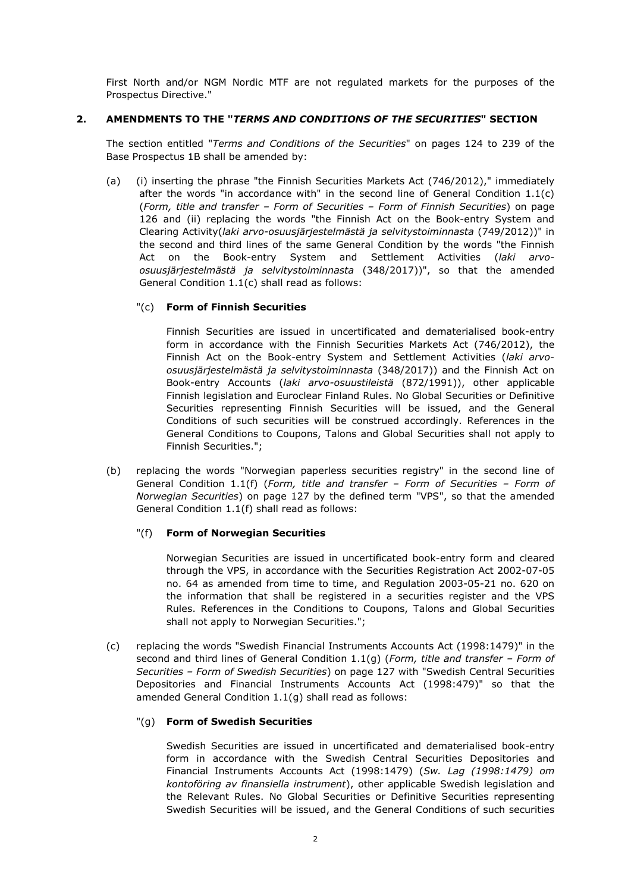First North and/or NGM Nordic MTF are not regulated markets for the purposes of the Prospectus Directive."

# **2. AMENDMENTS TO THE "***TERMS AND CONDITIONS OF THE SECURITIES***" SECTION**

The section entitled "*Terms and Conditions of the Securities*" on pages 124 to 239 of the Base Prospectus 1B shall be amended by:

(a) (i) inserting the phrase "the Finnish Securities Markets Act (746/2012)," immediately after the words "in accordance with" in the second line of General Condition 1.1(c) (*Form, title and transfer – Form of Securities – Form of Finnish Securities*) on page 126 and (ii) replacing the words "the Finnish Act on the Book-entry System and Clearing Activity(*laki arvo-osuusjärjestelmästä ja selvitystoiminnasta* (749/2012))" in the second and third lines of the same General Condition by the words "the Finnish Act on the Book-entry System and Settlement Activities (*laki arvoosuusjärjestelmästä ja selvitystoiminnasta* (348/2017))", so that the amended General Condition 1.1(c) shall read as follows:

# "(c) **Form of Finnish Securities**

Finnish Securities are issued in uncertificated and dematerialised book-entry form in accordance with the Finnish Securities Markets Act (746/2012), the Finnish Act on the Book-entry System and Settlement Activities (*laki arvoosuusjärjestelmästä ja selvitystoiminnasta* (348/2017)) and the Finnish Act on Book-entry Accounts (*laki arvo-osuustileistä* (872/1991)), other applicable Finnish legislation and Euroclear Finland Rules. No Global Securities or Definitive Securities representing Finnish Securities will be issued, and the General Conditions of such securities will be construed accordingly. References in the General Conditions to Coupons, Talons and Global Securities shall not apply to Finnish Securities.";

(b) replacing the words "Norwegian paperless securities registry" in the second line of General Condition 1.1(f) (*Form, title and transfer – Form of Securities – Form of Norwegian Securities*) on page 127 by the defined term "VPS", so that the amended General Condition 1.1(f) shall read as follows:

#### "(f) **Form of Norwegian Securities**

Norwegian Securities are issued in uncertificated book-entry form and cleared through the VPS, in accordance with the Securities Registration Act 2002-07-05 no. 64 as amended from time to time, and Regulation 2003-05-21 no. 620 on the information that shall be registered in a securities register and the VPS Rules. References in the Conditions to Coupons, Talons and Global Securities shall not apply to Norwegian Securities.";

(c) replacing the words "Swedish Financial Instruments Accounts Act (1998:1479)" in the second and third lines of General Condition 1.1(g) (*Form, title and transfer – Form of Securities – Form of Swedish Securities*) on page 127 with "Swedish Central Securities Depositories and Financial Instruments Accounts Act (1998:479)" so that the amended General Condition 1.1(g) shall read as follows:

# "(g) **Form of Swedish Securities**

Swedish Securities are issued in uncertificated and dematerialised book-entry form in accordance with the Swedish Central Securities Depositories and Financial Instruments Accounts Act (1998:1479) (*Sw. Lag (1998:1479) om kontoföring av finansiella instrument*), other applicable Swedish legislation and the Relevant Rules. No Global Securities or Definitive Securities representing Swedish Securities will be issued, and the General Conditions of such securities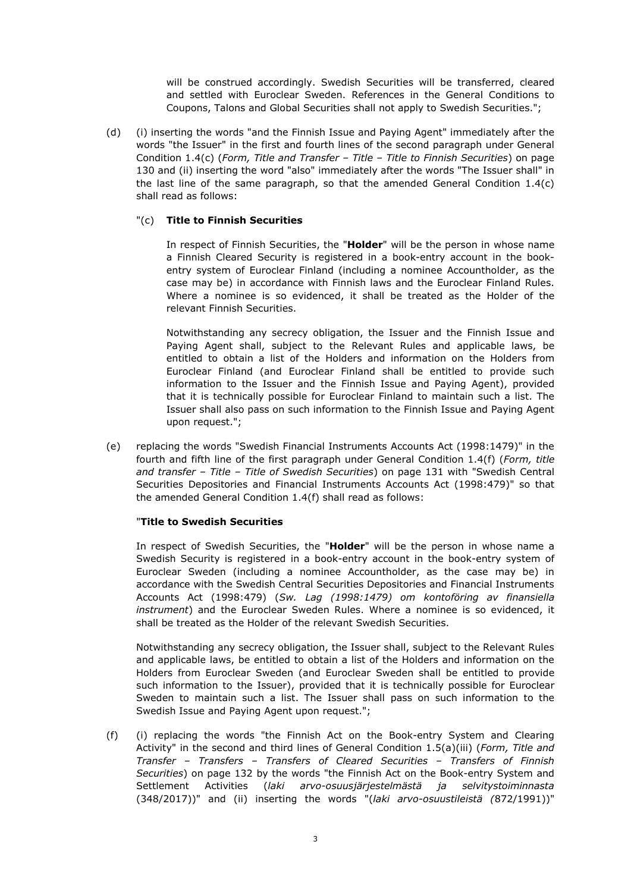will be construed accordingly. Swedish Securities will be transferred, cleared and settled with Euroclear Sweden. References in the General Conditions to Coupons, Talons and Global Securities shall not apply to Swedish Securities.";

(d) (i) inserting the words "and the Finnish Issue and Paying Agent" immediately after the words "the Issuer" in the first and fourth lines of the second paragraph under General Condition 1.4(c) (*Form, Title and Transfer – Title – Title to Finnish Securities*) on page 130 and (ii) inserting the word "also" immediately after the words "The Issuer shall" in the last line of the same paragraph, so that the amended General Condition 1.4(c) shall read as follows:

# "(c) **Title to Finnish Securities**

In respect of Finnish Securities, the "**Holder**" will be the person in whose name a Finnish Cleared Security is registered in a book-entry account in the bookentry system of Euroclear Finland (including a nominee Accountholder, as the case may be) in accordance with Finnish laws and the Euroclear Finland Rules. Where a nominee is so evidenced, it shall be treated as the Holder of the relevant Finnish Securities.

Notwithstanding any secrecy obligation, the Issuer and the Finnish Issue and Paying Agent shall, subject to the Relevant Rules and applicable laws, be entitled to obtain a list of the Holders and information on the Holders from Euroclear Finland (and Euroclear Finland shall be entitled to provide such information to the Issuer and the Finnish Issue and Paying Agent), provided that it is technically possible for Euroclear Finland to maintain such a list. The Issuer shall also pass on such information to the Finnish Issue and Paying Agent upon request.";

(e) replacing the words "Swedish Financial Instruments Accounts Act (1998:1479)" in the fourth and fifth line of the first paragraph under General Condition 1.4(f) (*Form, title and transfer – Title – Title of Swedish Securities*) on page 131 with "Swedish Central Securities Depositories and Financial Instruments Accounts Act (1998:479)" so that the amended General Condition 1.4(f) shall read as follows:

#### "**Title to Swedish Securities**

In respect of Swedish Securities, the "**Holder**" will be the person in whose name a Swedish Security is registered in a book-entry account in the book-entry system of Euroclear Sweden (including a nominee Accountholder, as the case may be) in accordance with the Swedish Central Securities Depositories and Financial Instruments Accounts Act (1998:479) (*Sw. Lag (1998:1479) om kontoföring av finansiella instrument*) and the Euroclear Sweden Rules. Where a nominee is so evidenced, it shall be treated as the Holder of the relevant Swedish Securities.

Notwithstanding any secrecy obligation, the Issuer shall, subject to the Relevant Rules and applicable laws, be entitled to obtain a list of the Holders and information on the Holders from Euroclear Sweden (and Euroclear Sweden shall be entitled to provide such information to the Issuer), provided that it is technically possible for Euroclear Sweden to maintain such a list. The Issuer shall pass on such information to the Swedish Issue and Paying Agent upon request.";

(f) (i) replacing the words "the Finnish Act on the Book-entry System and Clearing Activity" in the second and third lines of General Condition 1.5(a)(iii) (*Form, Title and Transfer – Transfers – Transfers of Cleared Securities – Transfers of Finnish Securities*) on page 132 by the words "the Finnish Act on the Book-entry System and Settlement Activities (*laki arvo-osuusjärjestelmästä ja selvitystoiminnasta* (348/2017))" and (ii) inserting the words "(*laki arvo-osuustileistä (*872/1991))"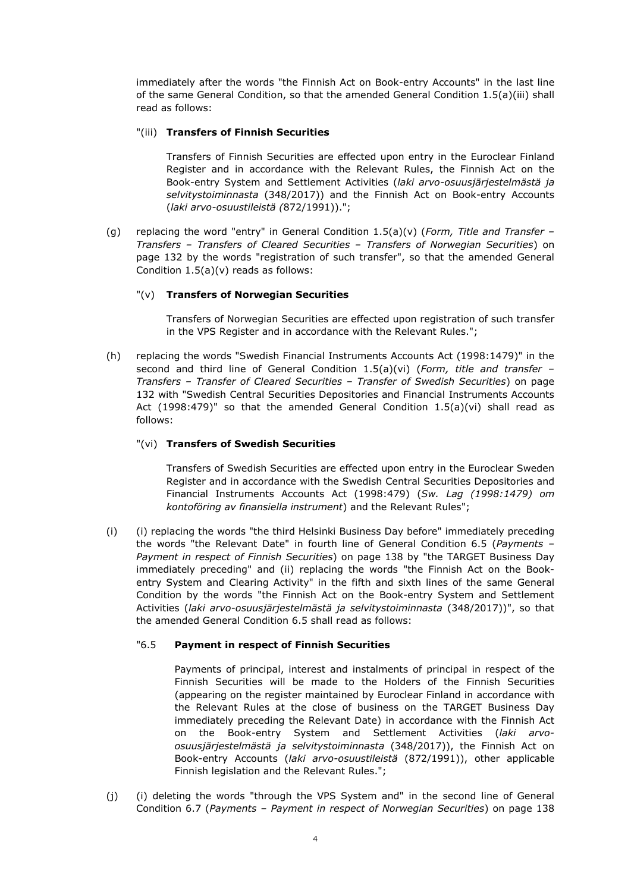immediately after the words "the Finnish Act on Book-entry Accounts" in the last line of the same General Condition, so that the amended General Condition 1.5(a)(iii) shall read as follows:

# "(iii) **Transfers of Finnish Securities**

Transfers of Finnish Securities are effected upon entry in the Euroclear Finland Register and in accordance with the Relevant Rules, the Finnish Act on the Book-entry System and Settlement Activities (*laki arvo-osuusjärjestelmästä ja selvitystoiminnasta* (348/2017)) and the Finnish Act on Book-entry Accounts (*laki arvo-osuustileistä (*872/1991)).";

(g) replacing the word "entry" in General Condition 1.5(a)(v) (*Form, Title and Transfer – Transfers – Transfers of Cleared Securities – Transfers of Norwegian Securities*) on page 132 by the words "registration of such transfer", so that the amended General Condition 1.5(a)(v) reads as follows:

# "(v) **Transfers of Norwegian Securities**

Transfers of Norwegian Securities are effected upon registration of such transfer in the VPS Register and in accordance with the Relevant Rules.";

(h) replacing the words "Swedish Financial Instruments Accounts Act (1998:1479)" in the second and third line of General Condition 1.5(a)(vi) (*Form, title and transfer – Transfers – Transfer of Cleared Securities – Transfer of Swedish Securities*) on page 132 with "Swedish Central Securities Depositories and Financial Instruments Accounts Act  $(1998:479)$ " so that the amended General Condition  $1.5(a)(vi)$  shall read as follows:

# "(vi) **Transfers of Swedish Securities**

Transfers of Swedish Securities are effected upon entry in the Euroclear Sweden Register and in accordance with the Swedish Central Securities Depositories and Financial Instruments Accounts Act (1998:479) (*Sw. Lag (1998:1479) om kontoföring av finansiella instrument*) and the Relevant Rules";

(i) (i) replacing the words "the third Helsinki Business Day before" immediately preceding the words "the Relevant Date" in fourth line of General Condition 6.5 (*Payments – Payment in respect of Finnish Securities*) on page 138 by "the TARGET Business Day immediately preceding" and (ii) replacing the words "the Finnish Act on the Bookentry System and Clearing Activity" in the fifth and sixth lines of the same General Condition by the words "the Finnish Act on the Book-entry System and Settlement Activities (*laki arvo-osuusjärjestelmästä ja selvitystoiminnasta* (348/2017))", so that the amended General Condition 6.5 shall read as follows:

#### "6.5 **Payment in respect of Finnish Securities**

Payments of principal, interest and instalments of principal in respect of the Finnish Securities will be made to the Holders of the Finnish Securities (appearing on the register maintained by Euroclear Finland in accordance with the Relevant Rules at the close of business on the TARGET Business Day immediately preceding the Relevant Date) in accordance with the Finnish Act on the Book-entry System and Settlement Activities (*laki arvoosuusjärjestelmästä ja selvitystoiminnasta* (348/2017)), the Finnish Act on Book-entry Accounts (*laki arvo-osuustileistä* (872/1991)), other applicable Finnish legislation and the Relevant Rules.";

(j) (i) deleting the words "through the VPS System and" in the second line of General Condition 6.7 (*Payments – Payment in respect of Norwegian Securities*) on page 138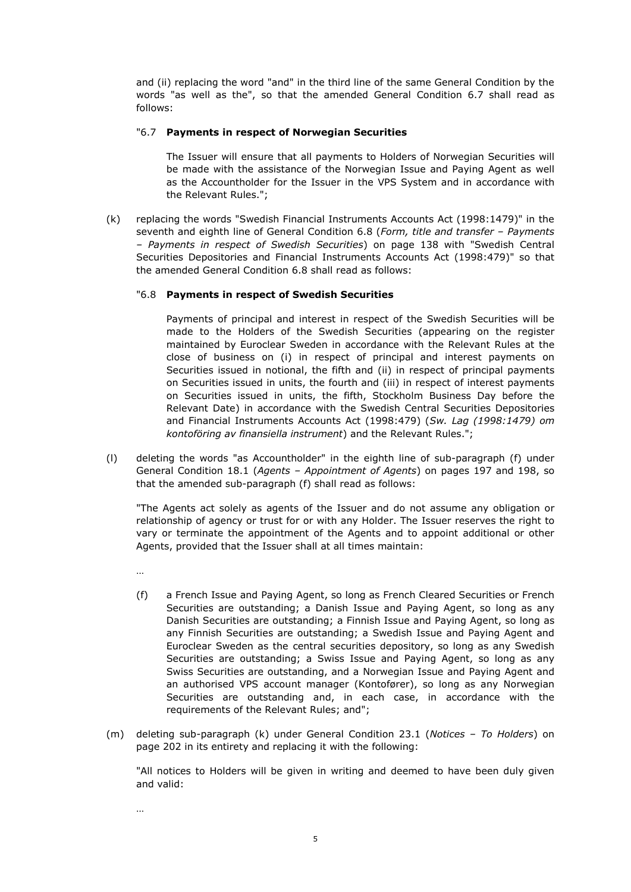and (ii) replacing the word "and" in the third line of the same General Condition by the words "as well as the", so that the amended General Condition 6.7 shall read as follows:

#### "6.7 **Payments in respect of Norwegian Securities**

The Issuer will ensure that all payments to Holders of Norwegian Securities will be made with the assistance of the Norwegian Issue and Paying Agent as well as the Accountholder for the Issuer in the VPS System and in accordance with the Relevant Rules.";

(k) replacing the words "Swedish Financial Instruments Accounts Act (1998:1479)" in the seventh and eighth line of General Condition 6.8 (*Form, title and transfer – Payments – Payments in respect of Swedish Securities*) on page 138 with "Swedish Central Securities Depositories and Financial Instruments Accounts Act (1998:479)" so that the amended General Condition 6.8 shall read as follows:

# "6.8 **Payments in respect of Swedish Securities**

Payments of principal and interest in respect of the Swedish Securities will be made to the Holders of the Swedish Securities (appearing on the register maintained by Euroclear Sweden in accordance with the Relevant Rules at the close of business on (i) in respect of principal and interest payments on Securities issued in notional, the fifth and (ii) in respect of principal payments on Securities issued in units, the fourth and (iii) in respect of interest payments on Securities issued in units, the fifth, Stockholm Business Day before the Relevant Date) in accordance with the Swedish Central Securities Depositories and Financial Instruments Accounts Act (1998:479) (*Sw. Lag (1998:1479) om kontoföring av finansiella instrument*) and the Relevant Rules.";

(l) deleting the words "as Accountholder" in the eighth line of sub-paragraph (f) under General Condition 18.1 (*Agents – Appointment of Agents*) on pages 197 and 198, so that the amended sub-paragraph (f) shall read as follows:

"The Agents act solely as agents of the Issuer and do not assume any obligation or relationship of agency or trust for or with any Holder. The Issuer reserves the right to vary or terminate the appointment of the Agents and to appoint additional or other Agents, provided that the Issuer shall at all times maintain:

…

…

- (f) a French Issue and Paying Agent, so long as French Cleared Securities or French Securities are outstanding; a Danish Issue and Paying Agent, so long as any Danish Securities are outstanding; a Finnish Issue and Paying Agent, so long as any Finnish Securities are outstanding; a Swedish Issue and Paying Agent and Euroclear Sweden as the central securities depository, so long as any Swedish Securities are outstanding; a Swiss Issue and Paying Agent, so long as any Swiss Securities are outstanding, and a Norwegian Issue and Paying Agent and an authorised VPS account manager (Kontofører), so long as any Norwegian Securities are outstanding and, in each case, in accordance with the requirements of the Relevant Rules; and";
- (m) deleting sub-paragraph (k) under General Condition 23.1 (*Notices To Holders*) on page 202 in its entirety and replacing it with the following:

"All notices to Holders will be given in writing and deemed to have been duly given and valid: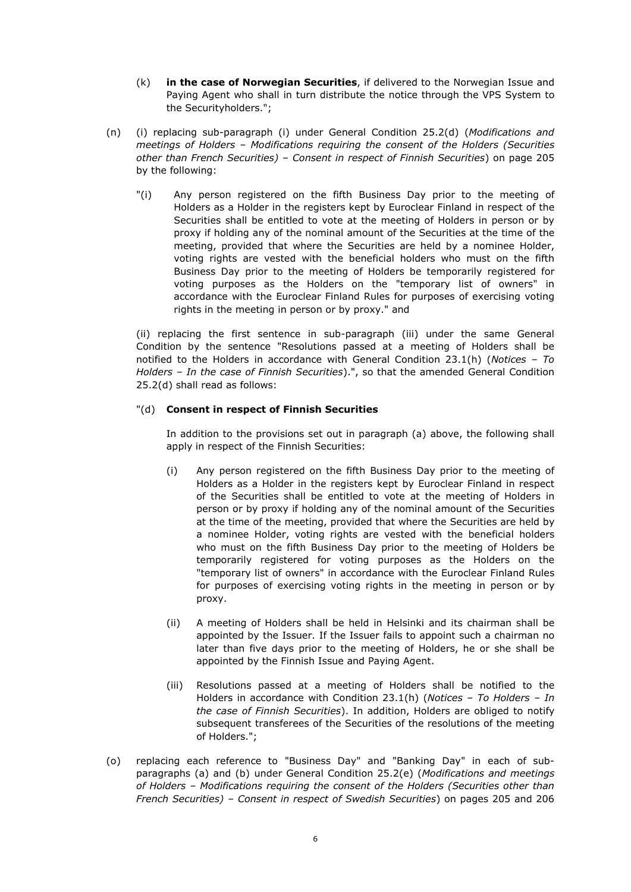- (k) **in the case of Norwegian Securities**, if delivered to the Norwegian Issue and Paying Agent who shall in turn distribute the notice through the VPS System to the Securityholders.";
- (n) (i) replacing sub-paragraph (i) under General Condition 25.2(d) (*Modifications and meetings of Holders – Modifications requiring the consent of the Holders (Securities other than French Securities) – Consent in respect of Finnish Securities*) on page 205 by the following:
	- "(i) Any person registered on the fifth Business Day prior to the meeting of Holders as a Holder in the registers kept by Euroclear Finland in respect of the Securities shall be entitled to vote at the meeting of Holders in person or by proxy if holding any of the nominal amount of the Securities at the time of the meeting, provided that where the Securities are held by a nominee Holder, voting rights are vested with the beneficial holders who must on the fifth Business Day prior to the meeting of Holders be temporarily registered for voting purposes as the Holders on the "temporary list of owners" in accordance with the Euroclear Finland Rules for purposes of exercising voting rights in the meeting in person or by proxy." and

(ii) replacing the first sentence in sub-paragraph (iii) under the same General Condition by the sentence "Resolutions passed at a meeting of Holders shall be notified to the Holders in accordance with General Condition 23.1(h) (*Notices – To Holders – In the case of Finnish Securities*).", so that the amended General Condition 25.2(d) shall read as follows:

# "(d) **Consent in respect of Finnish Securities**

In addition to the provisions set out in paragraph (a) above, the following shall apply in respect of the Finnish Securities:

- (i) Any person registered on the fifth Business Day prior to the meeting of Holders as a Holder in the registers kept by Euroclear Finland in respect of the Securities shall be entitled to vote at the meeting of Holders in person or by proxy if holding any of the nominal amount of the Securities at the time of the meeting, provided that where the Securities are held by a nominee Holder, voting rights are vested with the beneficial holders who must on the fifth Business Day prior to the meeting of Holders be temporarily registered for voting purposes as the Holders on the "temporary list of owners" in accordance with the Euroclear Finland Rules for purposes of exercising voting rights in the meeting in person or by proxy.
- (ii) A meeting of Holders shall be held in Helsinki and its chairman shall be appointed by the Issuer. If the Issuer fails to appoint such a chairman no later than five days prior to the meeting of Holders, he or she shall be appointed by the Finnish Issue and Paying Agent.
- (iii) Resolutions passed at a meeting of Holders shall be notified to the Holders in accordance with Condition 23.1(h) (*Notices – To Holders – In the case of Finnish Securities*). In addition, Holders are obliged to notify subsequent transferees of the Securities of the resolutions of the meeting of Holders.";
- (o) replacing each reference to "Business Day" and "Banking Day" in each of subparagraphs (a) and (b) under General Condition 25.2(e) (*Modifications and meetings of Holders – Modifications requiring the consent of the Holders (Securities other than French Securities) – Consent in respect of Swedish Securities*) on pages 205 and 206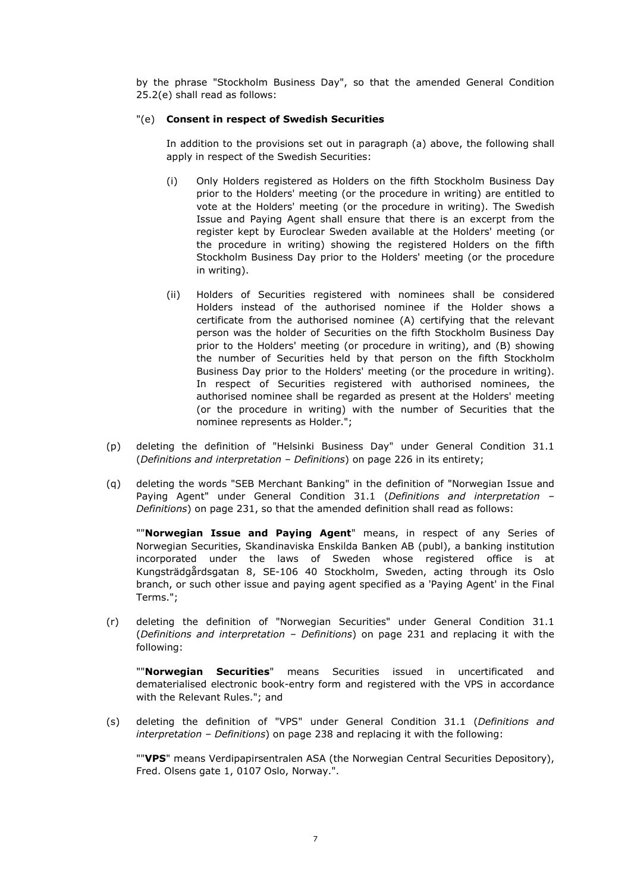by the phrase "Stockholm Business Day", so that the amended General Condition 25.2(e) shall read as follows:

#### "(e) **Consent in respect of Swedish Securities**

In addition to the provisions set out in paragraph (a) above, the following shall apply in respect of the Swedish Securities:

- (i) Only Holders registered as Holders on the fifth Stockholm Business Day prior to the Holders' meeting (or the procedure in writing) are entitled to vote at the Holders' meeting (or the procedure in writing). The Swedish Issue and Paying Agent shall ensure that there is an excerpt from the register kept by Euroclear Sweden available at the Holders' meeting (or the procedure in writing) showing the registered Holders on the fifth Stockholm Business Day prior to the Holders' meeting (or the procedure in writing).
- (ii) Holders of Securities registered with nominees shall be considered Holders instead of the authorised nominee if the Holder shows a certificate from the authorised nominee (A) certifying that the relevant person was the holder of Securities on the fifth Stockholm Business Day prior to the Holders' meeting (or procedure in writing), and (B) showing the number of Securities held by that person on the fifth Stockholm Business Day prior to the Holders' meeting (or the procedure in writing). In respect of Securities registered with authorised nominees, the authorised nominee shall be regarded as present at the Holders' meeting (or the procedure in writing) with the number of Securities that the nominee represents as Holder.";
- (p) deleting the definition of "Helsinki Business Day" under General Condition 31.1 (*Definitions and interpretation – Definitions*) on page 226 in its entirety;
- (q) deleting the words "SEB Merchant Banking" in the definition of "Norwegian Issue and Paying Agent" under General Condition 31.1 (*Definitions and interpretation – Definitions*) on page 231, so that the amended definition shall read as follows:

""**Norwegian Issue and Paying Agent**" means, in respect of any Series of Norwegian Securities, Skandinaviska Enskilda Banken AB (publ), a banking institution incorporated under the laws of Sweden whose registered office is at Kungsträdgårdsgatan 8, SE-106 40 Stockholm, Sweden, acting through its Oslo branch, or such other issue and paying agent specified as a 'Paying Agent' in the Final Terms.";

(r) deleting the definition of "Norwegian Securities" under General Condition 31.1 (*Definitions and interpretation – Definitions*) on page 231 and replacing it with the following:

""**Norwegian Securities**" means Securities issued in uncertificated and dematerialised electronic book-entry form and registered with the VPS in accordance with the Relevant Rules."; and

(s) deleting the definition of "VPS" under General Condition 31.1 (*Definitions and interpretation – Definitions*) on page 238 and replacing it with the following:

""**VPS**" means Verdipapirsentralen ASA (the Norwegian Central Securities Depository), Fred. Olsens gate 1, 0107 Oslo, Norway.".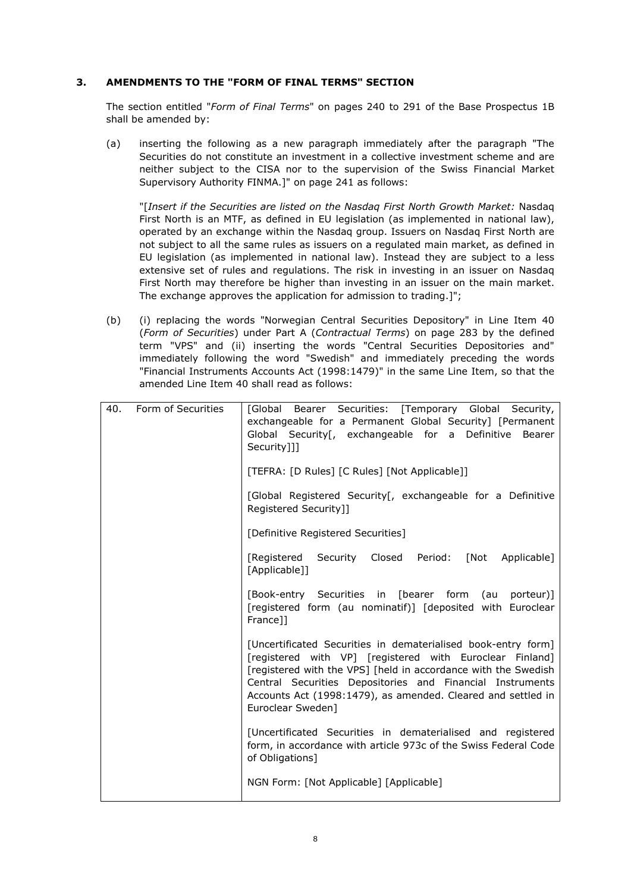# **3. AMENDMENTS TO THE "FORM OF FINAL TERMS" SECTION**

The section entitled "*Form of Final Terms*" on pages 240 to 291 of the Base Prospectus 1B shall be amended by:

(a) inserting the following as a new paragraph immediately after the paragraph "The Securities do not constitute an investment in a collective investment scheme and are neither subject to the CISA nor to the supervision of the Swiss Financial Market Supervisory Authority FINMA.]" on page 241 as follows:

"[*Insert if the Securities are listed on the Nasdaq First North Growth Market:* Nasdaq First North is an MTF, as defined in EU legislation (as implemented in national law), operated by an exchange within the Nasdaq group. Issuers on Nasdaq First North are not subject to all the same rules as issuers on a regulated main market, as defined in EU legislation (as implemented in national law). Instead they are subject to a less extensive set of rules and regulations. The risk in investing in an issuer on Nasdaq First North may therefore be higher than investing in an issuer on the main market. The exchange approves the application for admission to trading.]";

(b) (i) replacing the words "Norwegian Central Securities Depository" in Line Item 40 (*Form of Securities*) under Part A (*Contractual Terms*) on page 283 by the defined term "VPS" and (ii) inserting the words "Central Securities Depositories and" immediately following the word "Swedish" and immediately preceding the words "Financial Instruments Accounts Act (1998:1479)" in the same Line Item, so that the amended Line Item 40 shall read as follows:

| 40. | Form of Securities | [Global Bearer Securities: [Temporary Global Security,<br>exchangeable for a Permanent Global Security] [Permanent<br>Global Security[, exchangeable for a Definitive<br>Bearer<br>Security]]]<br>[TEFRA: [D Rules] [C Rules] [Not Applicable]]                                                                                               |
|-----|--------------------|-----------------------------------------------------------------------------------------------------------------------------------------------------------------------------------------------------------------------------------------------------------------------------------------------------------------------------------------------|
|     |                    | [Global Registered Security[, exchangeable for a Definitive<br>Registered Security]]                                                                                                                                                                                                                                                          |
|     |                    | [Definitive Registered Securities]                                                                                                                                                                                                                                                                                                            |
|     |                    | [Registered Security Closed Period: [Not Applicable]<br>[Applicable]]                                                                                                                                                                                                                                                                         |
|     |                    | [Book-entry Securities in [bearer form (au<br>porteur)]<br>[registered form (au nominatif)] [deposited with Euroclear<br>France]]                                                                                                                                                                                                             |
|     |                    | [Uncertificated Securities in dematerialised book-entry form]<br>[registered with VP] [registered with Euroclear Finland]<br>[registered with the VPS] [held in accordance with the Swedish<br>Central Securities Depositories and Financial Instruments<br>Accounts Act (1998:1479), as amended. Cleared and settled in<br>Euroclear Sweden] |
|     |                    | [Uncertificated Securities in dematerialised and registered<br>form, in accordance with article 973c of the Swiss Federal Code<br>of Obligations]                                                                                                                                                                                             |
|     |                    | NGN Form: [Not Applicable] [Applicable]                                                                                                                                                                                                                                                                                                       |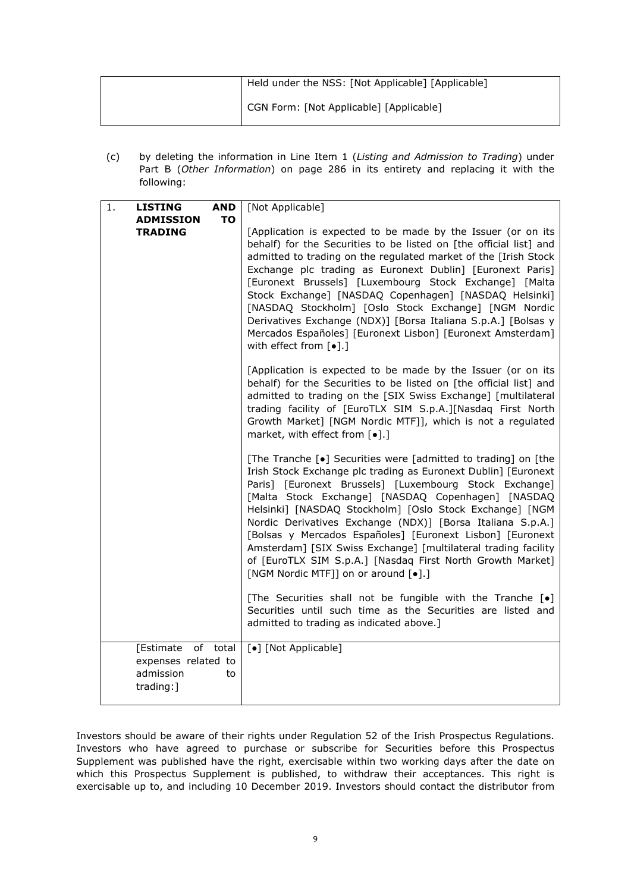| Held under the NSS: [Not Applicable] [Applicable] |
|---------------------------------------------------|
| CGN Form: [Not Applicable] [Applicable]           |

(c) by deleting the information in Line Item 1 (*Listing and Admission to Trading*) under Part B (*Other Information*) on page 286 in its entirety and replacing it with the following:

| 1.<br><b>LISTING</b>                                       | <b>AND</b>     | [Not Applicable]                                                                                                                                                                                                                                                                                                                                                                                                                                                                                                                                                                                                            |
|------------------------------------------------------------|----------------|-----------------------------------------------------------------------------------------------------------------------------------------------------------------------------------------------------------------------------------------------------------------------------------------------------------------------------------------------------------------------------------------------------------------------------------------------------------------------------------------------------------------------------------------------------------------------------------------------------------------------------|
| <b>ADMISSION</b><br><b>TRADING</b>                         | <b>TO</b>      | [Application is expected to be made by the Issuer (or on its<br>behalf) for the Securities to be listed on [the official list] and<br>admitted to trading on the regulated market of the [Irish Stock<br>Exchange plc trading as Euronext Dublin] [Euronext Paris]<br>[Euronext Brussels] [Luxembourg Stock Exchange] [Malta<br>Stock Exchange] [NASDAQ Copenhagen] [NASDAQ Helsinki]<br>[NASDAQ Stockholm] [Oslo Stock Exchange] [NGM Nordic<br>Derivatives Exchange (NDX)] [Borsa Italiana S.p.A.] [Bolsas y<br>Mercados Españoles] [Euronext Lisbon] [Euronext Amsterdam]<br>with effect from $\lceil \bullet \rceil$ .] |
|                                                            |                | [Application is expected to be made by the Issuer (or on its<br>behalf) for the Securities to be listed on [the official list] and<br>admitted to trading on the [SIX Swiss Exchange] [multilateral<br>trading facility of [EuroTLX SIM S.p.A.][Nasdaq First North<br>Growth Market] [NGM Nordic MTF]], which is not a regulated<br>market, with effect from [.].]                                                                                                                                                                                                                                                          |
|                                                            |                | [The Tranche [•] Securities were [admitted to trading] on [the<br>Irish Stock Exchange plc trading as Euronext Dublin] [Euronext<br>Paris] [Euronext Brussels] [Luxembourg Stock Exchange]<br>[Malta Stock Exchange] [NASDAQ Copenhagen] [NASDAQ<br>Helsinki] [NASDAQ Stockholm] [Oslo Stock Exchange] [NGM<br>Nordic Derivatives Exchange (NDX)] [Borsa Italiana S.p.A.]<br>[Bolsas y Mercados Españoles] [Euronext Lisbon] [Euronext<br>Amsterdam] [SIX Swiss Exchange] [multilateral trading facility<br>of [EuroTLX SIM S.p.A.] [Nasdaq First North Growth Market]<br>[NGM Nordic MTF]] on or around [ $\bullet$ ].]    |
|                                                            |                | [The Securities shall not be fungible with the Tranche [.]<br>Securities until such time as the Securities are listed and<br>admitted to trading as indicated above.]                                                                                                                                                                                                                                                                                                                                                                                                                                                       |
| [Estimate<br>expenses related to<br>admission<br>trading:] | of total<br>to | [•] [Not Applicable]                                                                                                                                                                                                                                                                                                                                                                                                                                                                                                                                                                                                        |

Investors should be aware of their rights under Regulation 52 of the Irish Prospectus Regulations. Investors who have agreed to purchase or subscribe for Securities before this Prospectus Supplement was published have the right, exercisable within two working days after the date on which this Prospectus Supplement is published, to withdraw their acceptances. This right is exercisable up to, and including 10 December 2019. Investors should contact the distributor from